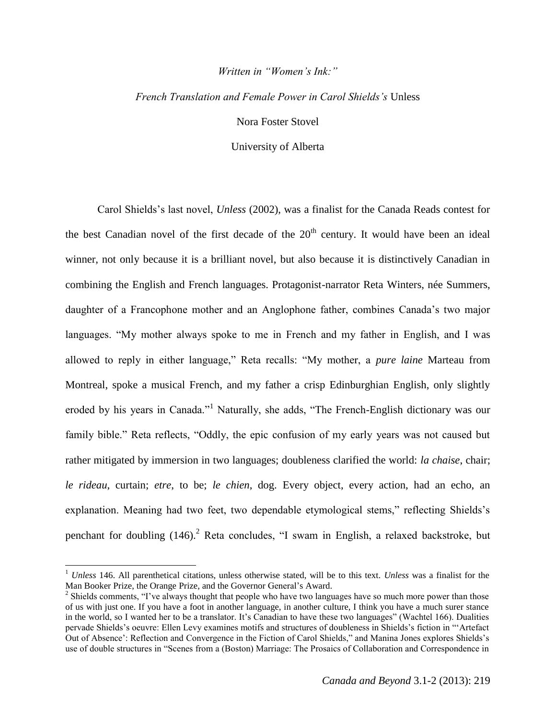## *Written in "Women's Ink:"*

## *French Translation and Female Power in Carol Shields's* Unless

Nora Foster Stovel

University of Alberta

Carol Shields's last novel, *Unless* (2002), was a finalist for the Canada Reads contest for the best Canadian novel of the first decade of the  $20<sup>th</sup>$  century. It would have been an ideal winner, not only because it is a brilliant novel, but also because it is distinctively Canadian in combining the English and French languages. Protagonist-narrator Reta Winters, née Summers, daughter of a Francophone mother and an Anglophone father, combines Canada's two major languages. "My mother always spoke to me in French and my father in English, and I was allowed to reply in either language," Reta recalls: "My mother, a *pure laine* Marteau from Montreal, spoke a musical French, and my father a crisp Edinburghian English, only slightly eroded by his years in Canada."<sup>1</sup> Naturally, she adds, "The French-English dictionary was our family bible." Reta reflects, "Oddly, the epic confusion of my early years was not caused but rather mitigated by immersion in two languages; doubleness clarified the world: *la chaise*, chair; *le rideau*, curtain; *etre*, to be; *le chien*, dog. Every object, every action, had an echo, an explanation. Meaning had two feet, two dependable etymological stems," reflecting Shields's penchant for doubling  $(146)$ <sup>2</sup> Reta concludes, "I swam in English, a relaxed backstroke, but

 $\overline{a}$ 

<sup>1</sup> *Unless* 146. All parenthetical citations, unless otherwise stated, will be to this text. *Unless* was a finalist for the Man Booker Prize, the Orange Prize, and the Governor General's Award.

<sup>&</sup>lt;sup>2</sup> Shields comments, "I've always thought that people who have two languages have so much more power than those of us with just one. If you have a foot in another language, in another culture, I think you have a much surer stance in the world, so I wanted her to be a translator. It's Canadian to have these two languages" (Wachtel 166). Dualities pervade Shields's oeuvre: Ellen Levy examines motifs and structures of doubleness in Shields's fiction in "'Artefact Out of Absence': Reflection and Convergence in the Fiction of Carol Shields," and Manina Jones explores Shields's use of double structures in "Scenes from a (Boston) Marriage: The Prosaics of Collaboration and Correspondence in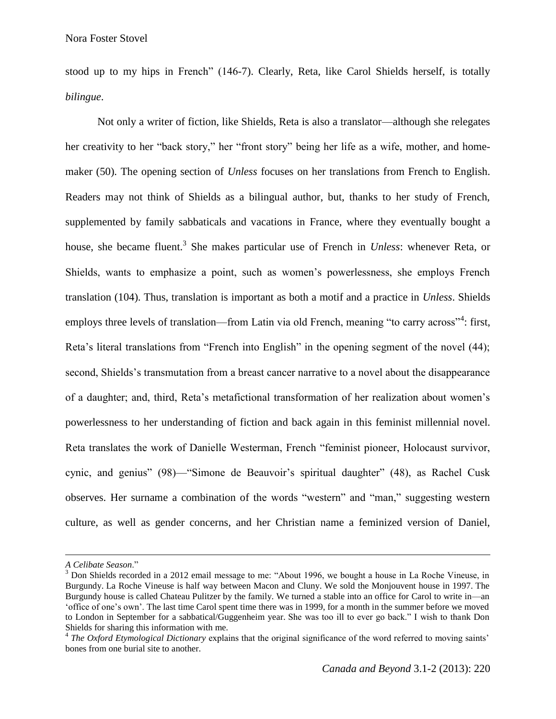stood up to my hips in French" (146-7). Clearly, Reta, like Carol Shields herself, is totally *bilingue*.

Not only a writer of fiction, like Shields, Reta is also a translator—although she relegates her creativity to her "back story," her "front story" being her life as a wife, mother, and homemaker (50). The opening section of *Unless* focuses on her translations from French to English. Readers may not think of Shields as a bilingual author, but, thanks to her study of French, supplemented by family sabbaticals and vacations in France, where they eventually bought a house, she became fluent.<sup>3</sup> She makes particular use of French in *Unless*: whenever Reta, or Shields, wants to emphasize a point, such as women's powerlessness, she employs French translation (104). Thus, translation is important as both a motif and a practice in *Unless*. Shields employs three levels of translation—from Latin via old French, meaning "to carry across"<sup>4</sup>: first, Reta's literal translations from "French into English" in the opening segment of the novel (44); second, Shields's transmutation from a breast cancer narrative to a novel about the disappearance of a daughter; and, third, Reta's metafictional transformation of her realization about women's powerlessness to her understanding of fiction and back again in this feminist millennial novel. Reta translates the work of Danielle Westerman, French "feminist pioneer, Holocaust survivor, cynic, and genius" (98)—"Simone de Beauvoir's spiritual daughter" (48), as Rachel Cusk observes. Her surname a combination of the words "western" and "man," suggesting western culture, as well as gender concerns, and her Christian name a feminized version of Daniel,

*A Celibate Season*."

<sup>&</sup>lt;sup>3</sup> Don Shields recorded in a 2012 email message to me: "About 1996, we bought a house in La Roche Vineuse, in Burgundy. La Roche Vineuse is half way between Macon and Cluny. We sold the Monjouvent house in 1997. The Burgundy house is called Chateau Pulitzer by the family. We turned a stable into an office for Carol to write in—an 'office of one's own'. The last time Carol spent time there was in 1999, for a month in the summer before we moved to London in September for a sabbatical/Guggenheim year. She was too ill to ever go back." I wish to thank Don Shields for sharing this information with me.

<sup>&</sup>lt;sup>4</sup> The Oxford Etymological Dictionary explains that the original significance of the word referred to moving saints' bones from one burial site to another.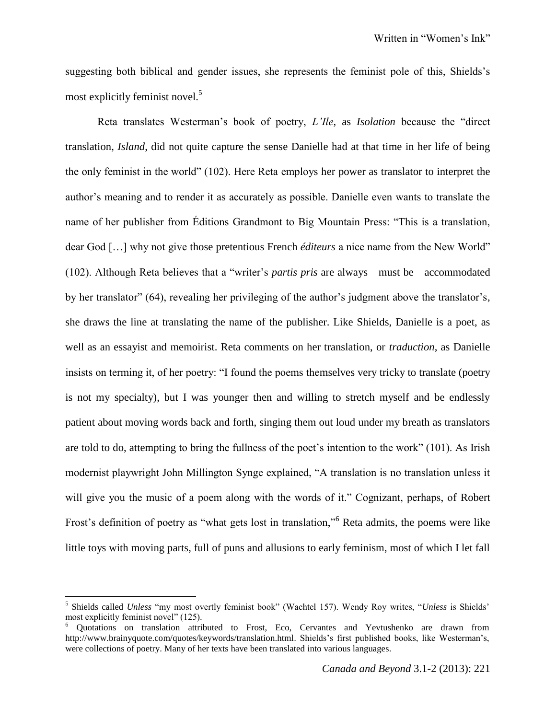suggesting both biblical and gender issues, she represents the feminist pole of this, Shields's most explicitly feminist novel.<sup>5</sup>

Reta translates Westerman's book of poetry, *L'Ile*, as *Isolation* because the "direct translation, *Island*, did not quite capture the sense Danielle had at that time in her life of being the only feminist in the world" (102). Here Reta employs her power as translator to interpret the author's meaning and to render it as accurately as possible. Danielle even wants to translate the name of her publisher from Éditions Grandmont to Big Mountain Press: "This is a translation, dear God […] why not give those pretentious French *éditeurs* a nice name from the New World" (102). Although Reta believes that a "writer's *partis pris* are always—must be—accommodated by her translator" (64), revealing her privileging of the author's judgment above the translator's, she draws the line at translating the name of the publisher. Like Shields, Danielle is a poet, as well as an essayist and memoirist. Reta comments on her translation, or *traduction*, as Danielle insists on terming it, of her poetry: "I found the poems themselves very tricky to translate (poetry is not my specialty), but I was younger then and willing to stretch myself and be endlessly patient about moving words back and forth, singing them out loud under my breath as translators are told to do, attempting to bring the fullness of the poet's intention to the work" (101). As Irish modernist playwright John Millington Synge explained, "A translation is no translation unless it will give you the music of a poem along with the words of it." Cognizant, perhaps, of Robert Frost's definition of poetry as "what gets lost in translation,"<sup>6</sup> Reta admits, the poems were like little toys with moving parts, full of puns and allusions to early feminism, most of which I let fall

 $\overline{a}$ 

<sup>5</sup> Shields called *Unless* "my most overtly feminist book" (Wachtel 157). Wendy Roy writes, "*Unless* is Shields' most explicitly feminist novel" (125).

<sup>&</sup>lt;sup>6</sup> Quotations on translation attributed to Frost, Eco, Cervantes and Yevtushenko are drawn from http://www.brainyquote.com/quotes/keywords/translation.html. Shields's first published books, like Westerman's, were collections of poetry. Many of her texts have been translated into various languages.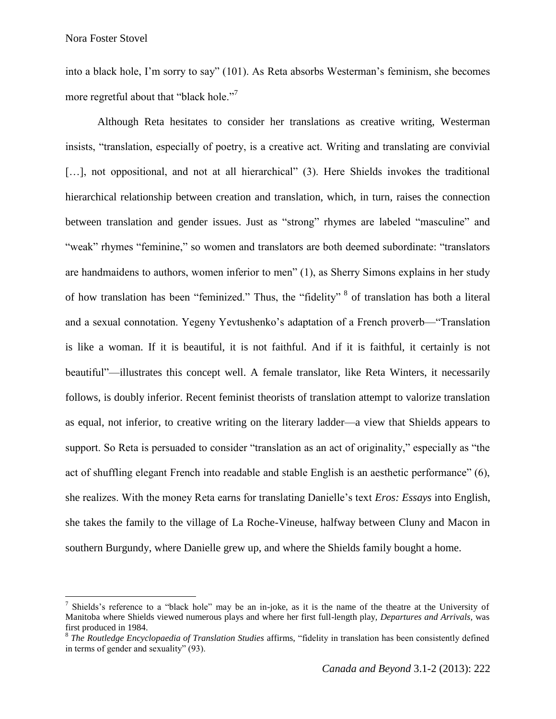Nora Foster Stovel

 $\overline{a}$ 

into a black hole, I'm sorry to say" (101). As Reta absorbs Westerman's feminism, she becomes more regretful about that "black hole."<sup>7</sup>

Although Reta hesitates to consider her translations as creative writing, Westerman insists, "translation, especially of poetry, is a creative act. Writing and translating are convivial [...], not oppositional, and not at all hierarchical" (3). Here Shields invokes the traditional hierarchical relationship between creation and translation, which, in turn, raises the connection between translation and gender issues. Just as "strong" rhymes are labeled "masculine" and "weak" rhymes "feminine," so women and translators are both deemed subordinate: "translators are handmaidens to authors, women inferior to men" (1), as Sherry Simons explains in her study of how translation has been "feminized." Thus, the "fidelity" <sup>8</sup> of translation has both a literal and a sexual connotation. Yegeny Yevtushenko's adaptation of a French proverb—"Translation is like a woman. If it is beautiful, it is not faithful. And if it is faithful, it certainly is not beautiful"—illustrates this concept well. A female translator, like Reta Winters, it necessarily follows, is doubly inferior. Recent feminist theorists of translation attempt to valorize translation as equal, not inferior, to creative writing on the literary ladder—a view that Shields appears to support. So Reta is persuaded to consider "translation as an act of originality," especially as "the act of shuffling elegant French into readable and stable English is an aesthetic performance" (6), she realizes. With the money Reta earns for translating Danielle's text *Eros: Essays* into English, she takes the family to the village of La Roche-Vineuse, halfway between Cluny and Macon in southern Burgundy, where Danielle grew up, and where the Shields family bought a home.

<sup>&</sup>lt;sup>7</sup> Shields's reference to a "black hole" may be an in-joke, as it is the name of the theatre at the University of Manitoba where Shields viewed numerous plays and where her first full-length play, *Departures and Arrivals,* was first produced in 1984.

<sup>8</sup> *The Routledge Encyclopaedia of Translation Studies* affirms, "fidelity in translation has been consistently defined in terms of gender and sexuality" (93).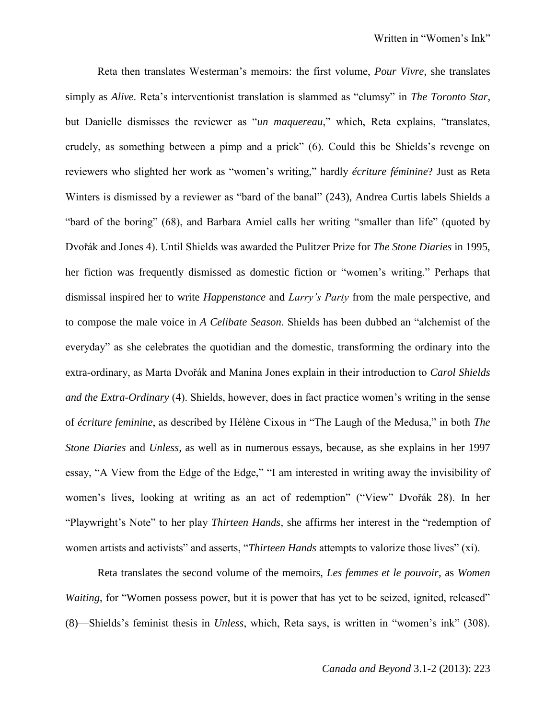Reta then translates Westerman's memoirs: the first volume, *Pour Vivre*, she translates simply as *Alive*. Reta's interventionist translation is slammed as "clumsy" in *The Toronto Star*, but Danielle dismisses the reviewer as "*un maquereau*," which, Reta explains, "translates, crudely, as something between a pimp and a prick" (6). Could this be Shields's revenge on reviewers who slighted her work as "women's writing," hardly *écriture féminine*? Just as Reta Winters is dismissed by a reviewer as "bard of the banal" (243), Andrea Curtis labels Shields a "bard of the boring" (68), and Barbara Amiel calls her writing "smaller than life" (quoted by Dvořák and Jones 4). Until Shields was awarded the Pulitzer Prize for *The Stone Diaries* in 1995, her fiction was frequently dismissed as domestic fiction or "women's writing." Perhaps that dismissal inspired her to write *Happenstance* and *Larry's Party* from the male perspective, and to compose the male voice in *A Celibate Season*. Shields has been dubbed an "alchemist of the everyday" as she celebrates the quotidian and the domestic, transforming the ordinary into the extra-ordinary, as Marta Dvořák and Manina Jones explain in their introduction to *Carol Shields and the Extra-Ordinary* (4). Shields, however, does in fact practice women's writing in the sense of *écriture feminine*, as described by Hélène Cixous in "The Laugh of the Medusa," in both *The Stone Diaries* and *Unless*, as well as in numerous essays, because, as she explains in her 1997 essay, "A View from the Edge of the Edge," "I am interested in writing away the invisibility of women's lives, looking at writing as an act of redemption" ("View" Dvořák 28). In her "Playwright's Note" to her play *Thirteen Hands*, she affirms her interest in the "redemption of women artists and activists" and asserts, "*Thirteen Hands* attempts to valorize those lives" (xi).

Reta translates the second volume of the memoirs, *Les femmes et le pouvoir*, as *Women Waiting*, for "Women possess power, but it is power that has yet to be seized, ignited, released" (8)—Shields's feminist thesis in *Unless*, which, Reta says, is written in "women's ink" (308).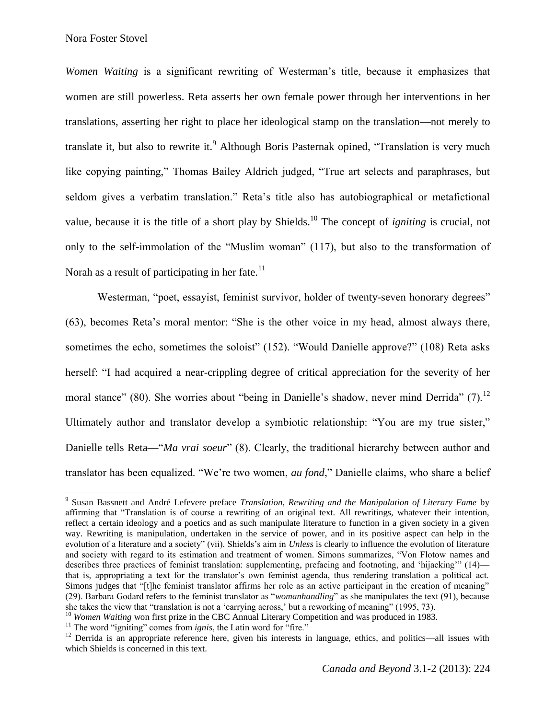l

*Women Waiting* is a significant rewriting of Westerman's title, because it emphasizes that women are still powerless. Reta asserts her own female power through her interventions in her translations, asserting her right to place her ideological stamp on the translation—not merely to translate it, but also to rewrite it.<sup>9</sup> Although Boris Pasternak opined, "Translation is very much like copying painting," Thomas Bailey Aldrich judged, "True art selects and paraphrases, but seldom gives a verbatim translation." Reta's title also has autobiographical or metafictional value, because it is the title of a short play by Shields.<sup>10</sup> The concept of *igniting* is crucial, not only to the self-immolation of the "Muslim woman" (117), but also to the transformation of Norah as a result of participating in her fate.<sup>11</sup>

Westerman, "poet, essayist, feminist survivor, holder of twenty-seven honorary degrees" (63), becomes Reta's moral mentor: "She is the other voice in my head, almost always there, sometimes the echo, sometimes the soloist" (152). "Would Danielle approve?" (108) Reta asks herself: "I had acquired a near-crippling degree of critical appreciation for the severity of her moral stance" (80). She worries about "being in Danielle's shadow, never mind Derrida" (7).<sup>12</sup> Ultimately author and translator develop a symbiotic relationship: "You are my true sister," Danielle tells Reta—"*Ma vrai soeur*" (8). Clearly, the traditional hierarchy between author and translator has been equalized. "We're two women, *au fond*," Danielle claims, who share a belief

<sup>9</sup> Susan Bassnett and André Lefevere preface *Translation, Rewriting and the Manipulation of Literary Fame* by affirming that "Translation is of course a rewriting of an original text. All rewritings, whatever their intention, reflect a certain ideology and a poetics and as such manipulate literature to function in a given society in a given way. Rewriting is manipulation, undertaken in the service of power, and in its positive aspect can help in the evolution of a literature and a society" (vii). Shields's aim in *Unless* is clearly to influence the evolution of literature and society with regard to its estimation and treatment of women. Simons summarizes, "Von Flotow names and describes three practices of feminist translation: supplementing, prefacing and footnoting, and 'hijacking'" (14) that is, appropriating a text for the translator's own feminist agenda, thus rendering translation a political act. Simons judges that "[t]he feminist translator affirms her role as an active participant in the creation of meaning" (29). Barbara Godard refers to the feminist translator as "*womanhandling*" as she manipulates the text (91), because she takes the view that "translation is not a 'carrying across,' but a reworking of meaning" (1995, 73).

<sup>&</sup>lt;sup>10</sup> *Women Waiting* won first prize in the CBC Annual Literary Competition and was produced in 1983.

<sup>&</sup>lt;sup>11</sup> The word "igniting" comes from *ignis*, the Latin word for "fire."

 $12$  Derrida is an appropriate reference here, given his interests in language, ethics, and politics—all issues with which Shields is concerned in this text.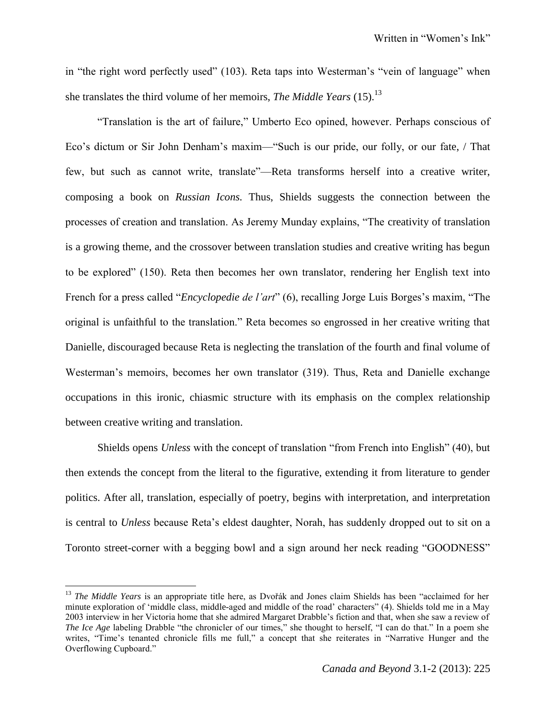in "the right word perfectly used" (103). Reta taps into Westerman's "vein of language" when she translates the third volume of her memoirs, *The Middle Years* (15).<sup>13</sup>

"Translation is the art of failure," Umberto Eco opined, however. Perhaps conscious of Eco's dictum or Sir John Denham's maxim—"Such is our pride, our folly, or our fate, / That few, but such as cannot write, translate"—Reta transforms herself into a creative writer, composing a book on *Russian Icons.* Thus, Shields suggests the connection between the processes of creation and translation. As Jeremy Munday explains, "The creativity of translation is a growing theme, and the crossover between translation studies and creative writing has begun to be explored" (150). Reta then becomes her own translator, rendering her English text into French for a press called "*Encyclopedie de l'art*" (6), recalling Jorge Luis Borges's maxim, "The original is unfaithful to the translation." Reta becomes so engrossed in her creative writing that Danielle, discouraged because Reta is neglecting the translation of the fourth and final volume of Westerman's memoirs, becomes her own translator (319). Thus, Reta and Danielle exchange occupations in this ironic, chiasmic structure with its emphasis on the complex relationship between creative writing and translation.

Shields opens *Unless* with the concept of translation "from French into English" (40), but then extends the concept from the literal to the figurative, extending it from literature to gender politics. After all, translation, especially of poetry, begins with interpretation, and interpretation is central to *Unless* because Reta's eldest daughter, Norah, has suddenly dropped out to sit on a Toronto street-corner with a begging bowl and a sign around her neck reading "GOODNESS"

l

<sup>&</sup>lt;sup>13</sup> *The Middle Years* is an appropriate title here, as Dvořák and Jones claim Shields has been "acclaimed for her minute exploration of 'middle class, middle-aged and middle of the road' characters" (4). Shields told me in a May 2003 interview in her Victoria home that she admired Margaret Drabble's fiction and that, when she saw a review of *The Ice Age labeling Drabble "the chronicler of our times," she thought to herself, "I can do that." In a poem she* writes, "Time's tenanted chronicle fills me full," a concept that she reiterates in "Narrative Hunger and the Overflowing Cupboard."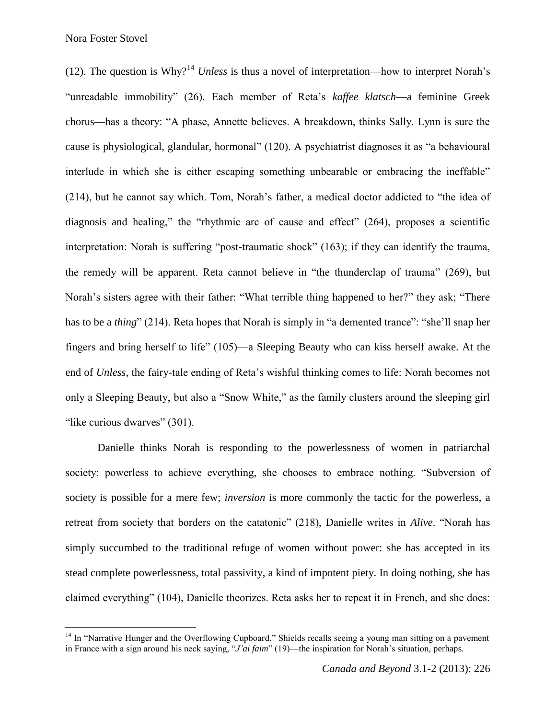Nora Foster Stovel

 $\overline{\phantom{a}}$ 

(12). The question is Why?<sup>14</sup> *Unless* is thus a novel of interpretation—how to interpret Norah's "unreadable immobility" (26). Each member of Reta's *kaffee klatsch*—a feminine Greek chorus—has a theory: "A phase, Annette believes. A breakdown, thinks Sally. Lynn is sure the cause is physiological, glandular, hormonal" (120). A psychiatrist diagnoses it as "a behavioural interlude in which she is either escaping something unbearable or embracing the ineffable" (214), but he cannot say which. Tom, Norah's father, a medical doctor addicted to "the idea of diagnosis and healing," the "rhythmic arc of cause and effect" (264), proposes a scientific interpretation: Norah is suffering "post-traumatic shock" (163); if they can identify the trauma, the remedy will be apparent. Reta cannot believe in "the thunderclap of trauma" (269), but Norah's sisters agree with their father: "What terrible thing happened to her?" they ask; "There has to be a *thing*" (214). Reta hopes that Norah is simply in "a demented trance": "she'll snap her fingers and bring herself to life" (105)—a Sleeping Beauty who can kiss herself awake. At the end of *Unless*, the fairy-tale ending of Reta's wishful thinking comes to life: Norah becomes not only a Sleeping Beauty, but also a "Snow White," as the family clusters around the sleeping girl "like curious dwarves" (301).

Danielle thinks Norah is responding to the powerlessness of women in patriarchal society: powerless to achieve everything, she chooses to embrace nothing. "Subversion of society is possible for a mere few; *inversion* is more commonly the tactic for the powerless, a retreat from society that borders on the catatonic" (218), Danielle writes in *Alive*. "Norah has simply succumbed to the traditional refuge of women without power: she has accepted in its stead complete powerlessness, total passivity, a kind of impotent piety. In doing nothing, she has claimed everything" (104), Danielle theorizes. Reta asks her to repeat it in French, and she does:

 $14$  In "Narrative Hunger and the Overflowing Cupboard," Shields recalls seeing a young man sitting on a pavement in France with a sign around his neck saying, "*J'ai faim*" (19)—the inspiration for Norah's situation, perhaps.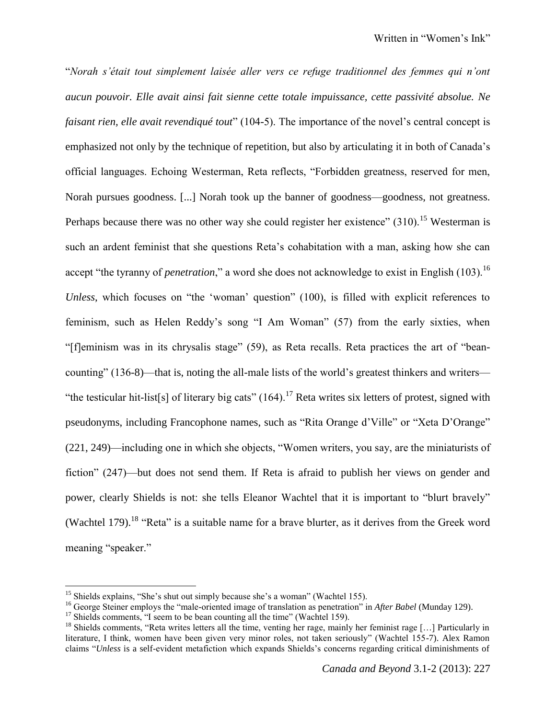"*Norah s'était tout simplement laisée aller vers ce refuge traditionnel des femmes qui n'ont aucun pouvoir. Elle avait ainsi fait sienne cette totale impuissance, cette passivité absolue. Ne faisant rien, elle avait revendiqué tout*" (104-5). The importance of the novel's central concept is emphasized not only by the technique of repetition, but also by articulating it in both of Canada's official languages. Echoing Westerman, Reta reflects, "Forbidden greatness, reserved for men, Norah pursues goodness. [...] Norah took up the banner of goodness—goodness, not greatness. Perhaps because there was no other way she could register her existence"  $(310)^{15}$  Westerman is such an ardent feminist that she questions Reta's cohabitation with a man, asking how she can accept "the tyranny of *penetration*," a word she does not acknowledge to exist in English (103).<sup>16</sup> *Unless*, which focuses on "the 'woman' question" (100), is filled with explicit references to feminism, such as Helen Reddy's song "I Am Woman" (57) from the early sixties, when "[f]eminism was in its chrysalis stage" (59), as Reta recalls. Reta practices the art of "beancounting" (136-8)—that is, noting the all-male lists of the world's greatest thinkers and writers— "the testicular hit-list[s] of literary big cats"  $(164)$ .<sup>17</sup> Reta writes six letters of protest, signed with pseudonyms, including Francophone names, such as "Rita Orange d'Ville" or "Xeta D'Orange" (221, 249)—including one in which she objects, "Women writers, you say, are the miniaturists of fiction" (247)—but does not send them. If Reta is afraid to publish her views on gender and power, clearly Shields is not: she tells Eleanor Wachtel that it is important to "blurt bravely" (Wachtel 179).<sup>18</sup> "Reta" is a suitable name for a brave blurter, as it derives from the Greek word meaning "speaker."

l

<sup>&</sup>lt;sup>15</sup> Shields explains, "She's shut out simply because she's a woman" (Wachtel 155).

<sup>16</sup> George Steiner employs the "male-oriented image of translation as penetration" in *After Babel* (Munday 129).

<sup>&</sup>lt;sup>17</sup> Shields comments, "I seem to be bean counting all the time" (Wachtel 159).

<sup>&</sup>lt;sup>18</sup> Shields comments, "Reta writes letters all the time, venting her rage, mainly her feminist rage [...] Particularly in literature, I think, women have been given very minor roles, not taken seriously" (Wachtel 155-7). Alex Ramon claims "*Unless* is a self-evident metafiction which expands Shields's concerns regarding critical diminishments of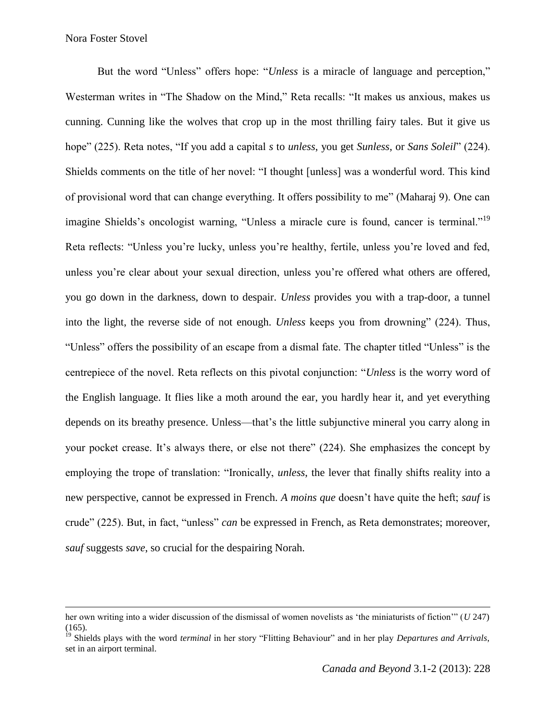$\overline{\phantom{a}}$ 

But the word "Unless" offers hope: "*Unless* is a miracle of language and perception," Westerman writes in "The Shadow on the Mind," Reta recalls: "It makes us anxious, makes us cunning. Cunning like the wolves that crop up in the most thrilling fairy tales. But it give us hope" (225). Reta notes, "If you add a capital *s* to *unless*, you get *Sunless*, or *Sans Soleil*" (224). Shields comments on the title of her novel: "I thought [unless] was a wonderful word. This kind of provisional word that can change everything. It offers possibility to me" (Maharaj 9). One can imagine Shields's oncologist warning, "Unless a miracle cure is found, cancer is terminal."<sup>19</sup> Reta reflects: "Unless you're lucky, unless you're healthy, fertile, unless you're loved and fed, unless you're clear about your sexual direction, unless you're offered what others are offered, you go down in the darkness, down to despair. *Unless* provides you with a trap-door, a tunnel into the light, the reverse side of not enough. *Unless* keeps you from drowning" (224). Thus, "Unless" offers the possibility of an escape from a dismal fate. The chapter titled "Unless" is the centrepiece of the novel. Reta reflects on this pivotal conjunction: "*Unless* is the worry word of the English language. It flies like a moth around the ear, you hardly hear it, and yet everything depends on its breathy presence. Unless—that's the little subjunctive mineral you carry along in your pocket crease. It's always there, or else not there" (224). She emphasizes the concept by employing the trope of translation: "Ironically, *unless*, the lever that finally shifts reality into a new perspective, cannot be expressed in French. *A moins que* doesn't have quite the heft; *sauf* is crude" (225). But, in fact, "unless" *can* be expressed in French, as Reta demonstrates; moreover, *sauf* suggests *save*, so crucial for the despairing Norah.

her own writing into a wider discussion of the dismissal of women novelists as 'the miniaturists of fiction'" (*U* 247) (165).

<sup>&</sup>lt;sup>19</sup> Shields plays with the word *terminal* in her story "Flitting Behaviour" and in her play *Departures and Arrivals*, set in an airport terminal.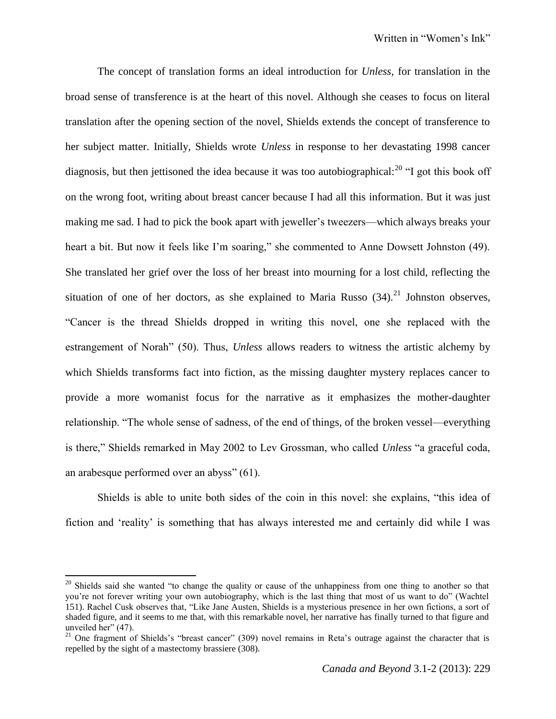The concept of translation forms an ideal introduction for *Unless*, for translation in the broad sense of transference is at the heart of this novel. Although she ceases to focus on literal translation after the opening section of the novel, Shields extends the concept of transference to her subject matter. Initially, Shields wrote *Unless* in response to her devastating 1998 cancer diagnosis, but then jettisoned the idea because it was too autobiographical:<sup>20</sup> "I got this book off on the wrong foot, writing about breast cancer because I had all this information. But it was just making me sad. I had to pick the book apart with jeweller's tweezers—which always breaks your heart a bit. But now it feels like I'm soaring," she commented to Anne Dowsett Johnston (49). She translated her grief over the loss of her breast into mourning for a lost child, reflecting the situation of one of her doctors, as she explained to Maria Russo  $(34)$ <sup>21</sup> Johnston observes, "Cancer is the thread Shields dropped in writing this novel, one she replaced with the estrangement of Norah" (50). Thus, *Unless* allows readers to witness the artistic alchemy by which Shields transforms fact into fiction, as the missing daughter mystery replaces cancer to provide a more womanist focus for the narrative as it emphasizes the mother-daughter relationship. "The whole sense of sadness, of the end of things, of the broken vessel—everything is there," Shields remarked in May 2002 to Lev Grossman, who called *Unless* "a graceful coda, an arabesque performed over an abyss" (61).

Shields is able to unite both sides of the coin in this novel: she explains, "this idea of fiction and 'reality' is something that has always interested me and certainly did while I was

<sup>&</sup>lt;sup>20</sup> Shields said she wanted "to change the quality or cause of the unhappiness from one thing to another so that you're not forever writing your own autobiography, which is the last thing that most of us want to do" (Wachtel 151). Rachel Cusk observes that, "Like Jane Austen, Shields is a mysterious presence in her own fictions, a sort of shaded figure, and it seems to me that, with this remarkable novel, her narrative has finally turned to that figure and unveiled her" (47).

<sup>&</sup>lt;sup>21</sup> One fragment of Shields's "breast cancer" (309) novel remains in Reta's outrage against the character that is repelled by the sight of a mastectomy brassiere (308).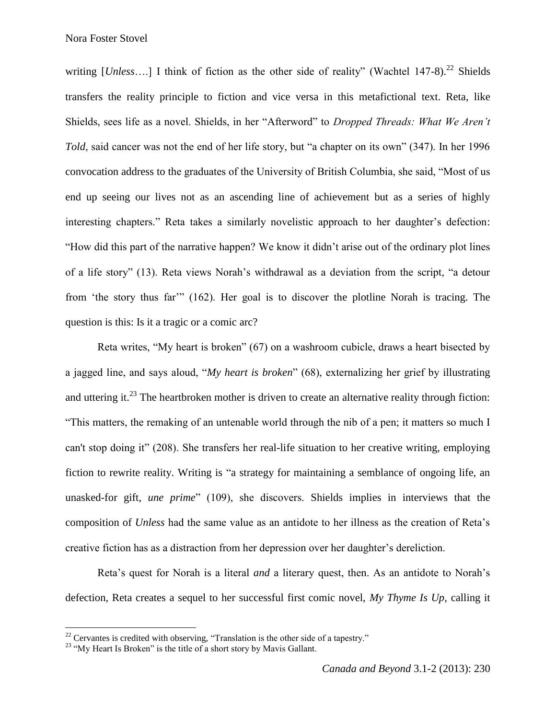writing  $[Unless...]$  I think of fiction as the other side of reality" (Wachtel 147-8).<sup>22</sup> Shields transfers the reality principle to fiction and vice versa in this metafictional text. Reta, like Shields, sees life as a novel. Shields, in her "Afterword" to *Dropped Threads: What We Aren't Told*, said cancer was not the end of her life story, but "a chapter on its own" (347). In her 1996 convocation address to the graduates of the University of British Columbia, she said, "Most of us end up seeing our lives not as an ascending line of achievement but as a series of highly interesting chapters." Reta takes a similarly novelistic approach to her daughter's defection: "How did this part of the narrative happen? We know it didn't arise out of the ordinary plot lines of a life story" (13). Reta views Norah's withdrawal as a deviation from the script, "a detour from 'the story thus far'" (162). Her goal is to discover the plotline Norah is tracing. The question is this: Is it a tragic or a comic arc?

Reta writes, "My heart is broken" (67) on a washroom cubicle, draws a heart bisected by a jagged line, and says aloud, "*My heart is broken*" (68), externalizing her grief by illustrating and uttering it.<sup>23</sup> The heartbroken mother is driven to create an alternative reality through fiction: "This matters, the remaking of an untenable world through the nib of a pen; it matters so much I can't stop doing it" (208). She transfers her real-life situation to her creative writing, employing fiction to rewrite reality. Writing is "a strategy for maintaining a semblance of ongoing life, an unasked-for gift, *une prime*" (109), she discovers. Shields implies in interviews that the composition of *Unless* had the same value as an antidote to her illness as the creation of Reta's creative fiction has as a distraction from her depression over her daughter's dereliction.

Reta's quest for Norah is a literal *and* a literary quest, then. As an antidote to Norah's defection, Reta creates a sequel to her successful first comic novel, *My Thyme Is Up*, calling it

 $22$  Cervantes is credited with observing, "Translation is the other side of a tapestry."

<sup>&</sup>lt;sup>23</sup> "My Heart Is Broken" is the title of a short story by Mavis Gallant.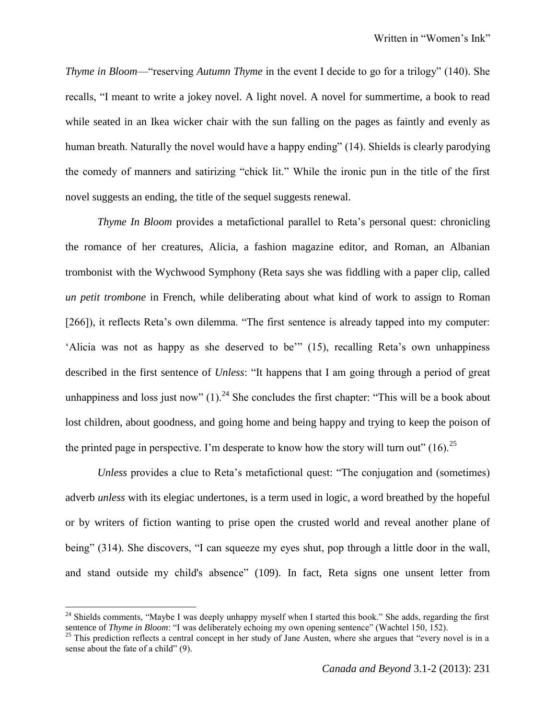*Thyme in Bloom*—"reserving *Autumn Thyme* in the event I decide to go for a trilogy" (140). She recalls, "I meant to write a jokey novel. A light novel. A novel for summertime, a book to read while seated in an Ikea wicker chair with the sun falling on the pages as faintly and evenly as human breath. Naturally the novel would have a happy ending" (14). Shields is clearly parodying the comedy of manners and satirizing "chick lit." While the ironic pun in the title of the first novel suggests an ending, the title of the sequel suggests renewal.

*Thyme In Bloom* provides a metafictional parallel to Reta's personal quest: chronicling the romance of her creatures, Alicia, a fashion magazine editor, and Roman, an Albanian trombonist with the Wychwood Symphony (Reta says she was fiddling with a paper clip, called *un petit trombone* in French, while deliberating about what kind of work to assign to Roman [266]), it reflects Reta's own dilemma. "The first sentence is already tapped into my computer: 'Alicia was not as happy as she deserved to be'" (15), recalling Reta's own unhappiness described in the first sentence of *Unless*: "It happens that I am going through a period of great unhappiness and loss just now"  $(1)$ .<sup>24</sup> She concludes the first chapter: "This will be a book about lost children, about goodness, and going home and being happy and trying to keep the poison of the printed page in perspective. I'm desperate to know how the story will turn out"  $(16)$ <sup>25</sup>

*Unless* provides a clue to Reta's metafictional quest: "The conjugation and (sometimes) adverb *unless* with its elegiac undertones, is a term used in logic, a word breathed by the hopeful or by writers of fiction wanting to prise open the crusted world and reveal another plane of being" (314). She discovers, "I can squeeze my eyes shut, pop through a little door in the wall, and stand outside my child's absence" (109). In fact, Reta signs one unsent letter from

<sup>&</sup>lt;sup>24</sup> Shields comments, "Maybe I was deeply unhappy myself when I started this book." She adds, regarding the first sentence of *Thyme in Bloom*: "I was deliberately echoing my own opening sentence" (Wachtel 150, 152).

 $^{25}$  This prediction reflects a central concept in her study of Jane Austen, where she argues that "every novel is in a sense about the fate of a child" (9).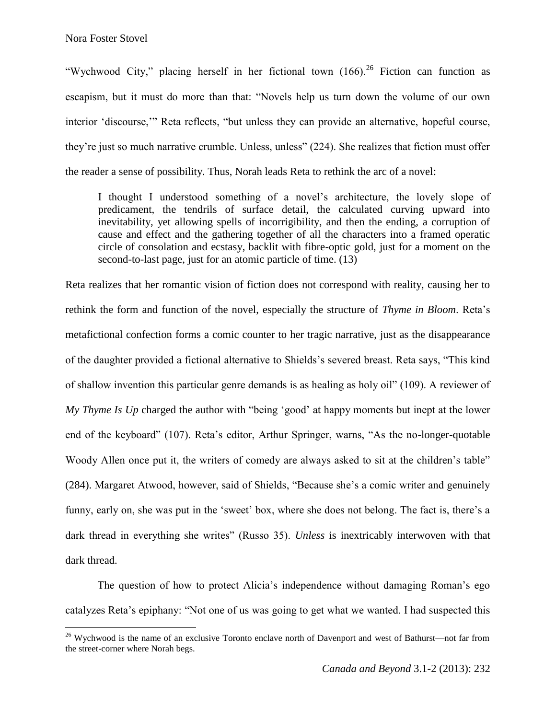$\overline{\phantom{a}}$ 

"Wychwood City," placing herself in her fictional town  $(166)$ ,  $^{26}$  Fiction can function as escapism, but it must do more than that: "Novels help us turn down the volume of our own interior 'discourse,'" Reta reflects, "but unless they can provide an alternative, hopeful course, they're just so much narrative crumble. Unless, unless" (224). She realizes that fiction must offer the reader a sense of possibility. Thus, Norah leads Reta to rethink the arc of a novel:

I thought I understood something of a novel's architecture, the lovely slope of predicament, the tendrils of surface detail, the calculated curving upward into inevitability, yet allowing spells of incorrigibility, and then the ending, a corruption of cause and effect and the gathering together of all the characters into a framed operatic circle of consolation and ecstasy, backlit with fibre-optic gold, just for a moment on the second-to-last page, just for an atomic particle of time. (13)

Reta realizes that her romantic vision of fiction does not correspond with reality, causing her to rethink the form and function of the novel, especially the structure of *Thyme in Bloom*. Reta's metafictional confection forms a comic counter to her tragic narrative, just as the disappearance of the daughter provided a fictional alternative to Shields's severed breast. Reta says, "This kind of shallow invention this particular genre demands is as healing as holy oil" (109). A reviewer of *My Thyme Is Up* charged the author with "being 'good' at happy moments but inept at the lower end of the keyboard" (107). Reta's editor, Arthur Springer, warns, "As the no-longer-quotable Woody Allen once put it, the writers of comedy are always asked to sit at the children's table" (284). Margaret Atwood, however, said of Shields, "Because she's a comic writer and genuinely funny, early on, she was put in the 'sweet' box, where she does not belong. The fact is, there's a dark thread in everything she writes" (Russo 35). *Unless* is inextricably interwoven with that dark thread.

The question of how to protect Alicia's independence without damaging Roman's ego catalyzes Reta's epiphany: "Not one of us was going to get what we wanted. I had suspected this

<sup>&</sup>lt;sup>26</sup> Wychwood is the name of an exclusive Toronto enclave north of Davenport and west of Bathurst—not far from the street-corner where Norah begs.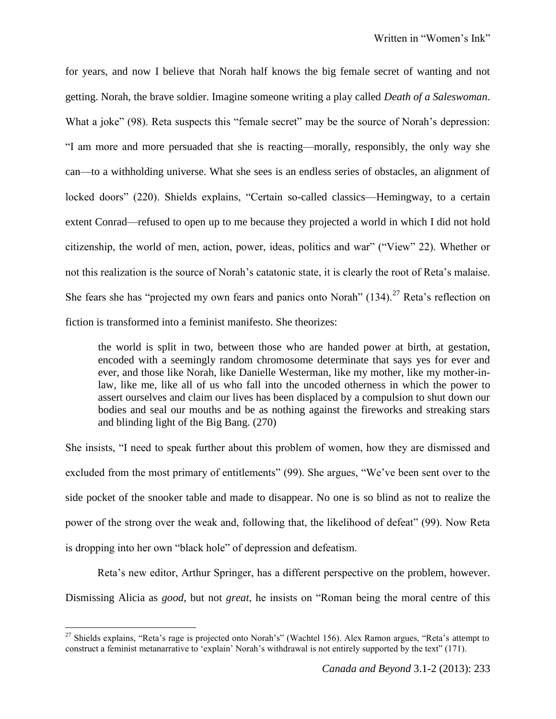for years, and now I believe that Norah half knows the big female secret of wanting and not getting. Norah, the brave soldier. Imagine someone writing a play called *Death of a Saleswoman*. What a joke" (98). Reta suspects this "female secret" may be the source of Norah's depression: "I am more and more persuaded that she is reacting—morally, responsibly, the only way she can—to a withholding universe. What she sees is an endless series of obstacles, an alignment of locked doors" (220). Shields explains, "Certain so-called classics—Hemingway, to a certain extent Conrad—refused to open up to me because they projected a world in which I did not hold citizenship, the world of men, action, power, ideas, politics and war" ("View" 22). Whether or not this realization is the source of Norah's catatonic state, it is clearly the root of Reta's malaise. She fears she has "projected my own fears and panics onto Norah"  $(134)$ .<sup>27</sup> Reta's reflection on fiction is transformed into a feminist manifesto. She theorizes:

the world is split in two, between those who are handed power at birth, at gestation, encoded with a seemingly random chromosome determinate that says yes for ever and ever, and those like Norah, like Danielle Westerman, like my mother, like my mother-inlaw, like me, like all of us who fall into the uncoded otherness in which the power to assert ourselves and claim our lives has been displaced by a compulsion to shut down our bodies and seal our mouths and be as nothing against the fireworks and streaking stars and blinding light of the Big Bang. (270)

She insists, "I need to speak further about this problem of women, how they are dismissed and excluded from the most primary of entitlements" (99). She argues, "We've been sent over to the side pocket of the snooker table and made to disappear. No one is so blind as not to realize the power of the strong over the weak and, following that, the likelihood of defeat" (99). Now Reta is dropping into her own "black hole" of depression and defeatism.

Reta's new editor, Arthur Springer, has a different perspective on the problem, however. Dismissing Alicia as *good*, but not *great*, he insists on "Roman being the moral centre of this

<sup>&</sup>lt;sup>27</sup> Shields explains, "Reta's rage is projected onto Norah's" (Wachtel 156). Alex Ramon argues, "Reta's attempt to construct a feminist metanarrative to 'explain' Norah's withdrawal is not entirely supported by the text" (171).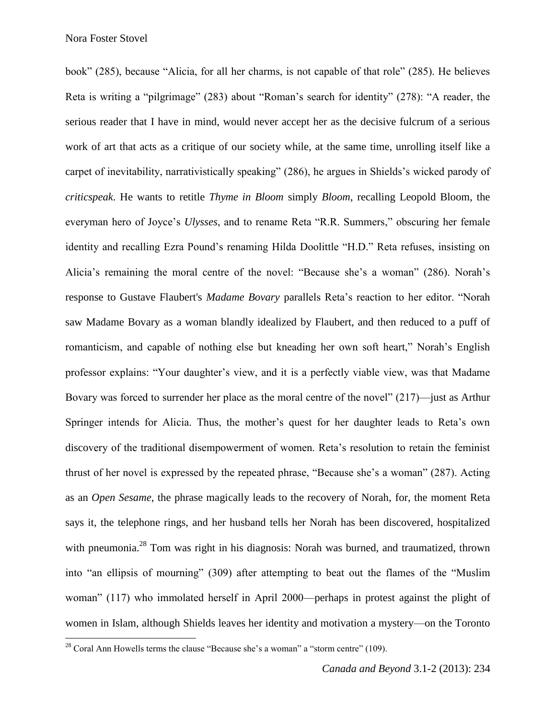$\overline{\phantom{a}}$ 

book" (285), because "Alicia, for all her charms, is not capable of that role" (285). He believes Reta is writing a "pilgrimage" (283) about "Roman's search for identity" (278): "A reader, the serious reader that I have in mind, would never accept her as the decisive fulcrum of a serious work of art that acts as a critique of our society while, at the same time, unrolling itself like a carpet of inevitability, narrativistically speaking" (286), he argues in Shields's wicked parody of *criticspeak*. He wants to retitle *Thyme in Bloom* simply *Bloom*, recalling Leopold Bloom, the everyman hero of Joyce's *Ulysses*, and to rename Reta "R.R. Summers," obscuring her female identity and recalling Ezra Pound's renaming Hilda Doolittle "H.D." Reta refuses, insisting on Alicia's remaining the moral centre of the novel: "Because she's a woman" (286). Norah's response to Gustave Flaubert's *Madame Bovary* parallels Reta's reaction to her editor. "Norah saw Madame Bovary as a woman blandly idealized by Flaubert, and then reduced to a puff of romanticism, and capable of nothing else but kneading her own soft heart," Norah's English professor explains: "Your daughter's view, and it is a perfectly viable view, was that Madame Bovary was forced to surrender her place as the moral centre of the novel" (217)—just as Arthur Springer intends for Alicia. Thus, the mother's quest for her daughter leads to Reta's own discovery of the traditional disempowerment of women. Reta's resolution to retain the feminist thrust of her novel is expressed by the repeated phrase, "Because she's a woman" (287). Acting as an *Open Sesame*, the phrase magically leads to the recovery of Norah, for, the moment Reta says it, the telephone rings, and her husband tells her Norah has been discovered, hospitalized with pneumonia.<sup>28</sup> Tom was right in his diagnosis: Norah was burned, and traumatized, thrown into "an ellipsis of mourning" (309) after attempting to beat out the flames of the "Muslim woman" (117) who immolated herself in April 2000—perhaps in protest against the plight of women in Islam, although Shields leaves her identity and motivation a mystery—on the Toronto

 $28$  Coral Ann Howells terms the clause "Because she's a woman" a "storm centre" (109).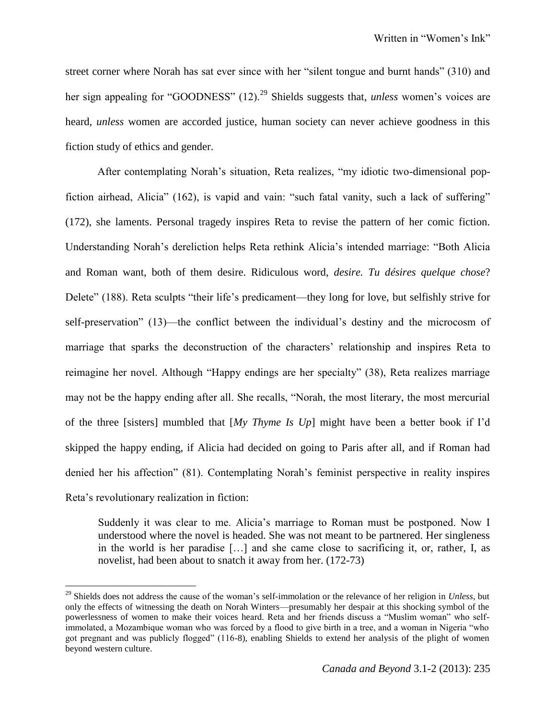street corner where Norah has sat ever since with her "silent tongue and burnt hands" (310) and her sign appealing for "GOODNESS" (12).<sup>29</sup> Shields suggests that, *unless* women's voices are heard, *unless* women are accorded justice, human society can never achieve goodness in this fiction study of ethics and gender.

After contemplating Norah's situation, Reta realizes, "my idiotic two-dimensional popfiction airhead, Alicia" (162), is vapid and vain: "such fatal vanity, such a lack of suffering" (172), she laments. Personal tragedy inspires Reta to revise the pattern of her comic fiction. Understanding Norah's dereliction helps Reta rethink Alicia's intended marriage: "Both Alicia and Roman want, both of them desire. Ridiculous word, *desire. Tu désires quelque chose*? Delete" (188). Reta sculpts "their life's predicament—they long for love, but selfishly strive for self-preservation" (13)—the conflict between the individual's destiny and the microcosm of marriage that sparks the deconstruction of the characters' relationship and inspires Reta to reimagine her novel. Although "Happy endings are her specialty" (38), Reta realizes marriage may not be the happy ending after all. She recalls, "Norah, the most literary, the most mercurial of the three [sisters] mumbled that [*My Thyme Is Up*] might have been a better book if I'd skipped the happy ending, if Alicia had decided on going to Paris after all, and if Roman had denied her his affection" (81). Contemplating Norah's feminist perspective in reality inspires Reta's revolutionary realization in fiction:

Suddenly it was clear to me. Alicia's marriage to Roman must be postponed. Now I understood where the novel is headed. She was not meant to be partnered. Her singleness in the world is her paradise […] and she came close to sacrificing it, or, rather, I, as novelist, had been about to snatch it away from her. (172-73)

l

<sup>29</sup> Shields does not address the cause of the woman's self-immolation or the relevance of her religion in *Unless*, but only the effects of witnessing the death on Norah Winters—presumably her despair at this shocking symbol of the powerlessness of women to make their voices heard. Reta and her friends discuss a "Muslim woman" who selfimmolated, a Mozambique woman who was forced by a flood to give birth in a tree, and a woman in Nigeria "who got pregnant and was publicly flogged" (116-8), enabling Shields to extend her analysis of the plight of women beyond western culture.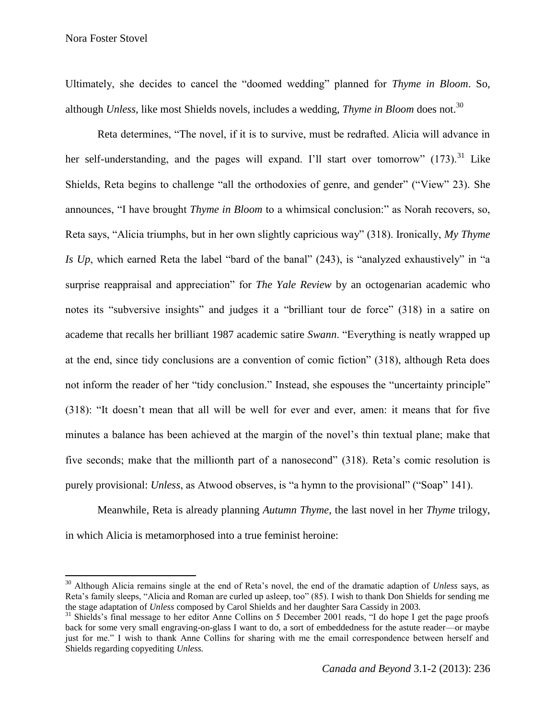Nora Foster Stovel

 $\overline{\phantom{a}}$ 

Ultimately, she decides to cancel the "doomed wedding" planned for *Thyme in Bloom*. So, although *Unless*, like most Shields novels, includes a wedding, *Thyme in Bloom* does not.<sup>30</sup>

Reta determines, "The novel, if it is to survive, must be redrafted. Alicia will advance in her self-understanding, and the pages will expand. I'll start over tomorrow"  $(173)$ <sup>31</sup> Like Shields, Reta begins to challenge "all the orthodoxies of genre, and gender" ("View" 23). She announces, "I have brought *Thyme in Bloom* to a whimsical conclusion:" as Norah recovers, so, Reta says, "Alicia triumphs, but in her own slightly capricious way" (318). Ironically, *My Thyme Is Up*, which earned Reta the label "bard of the banal" (243), is "analyzed exhaustively" in "a surprise reappraisal and appreciation" for *The Yale Review* by an octogenarian academic who notes its "subversive insights" and judges it a "brilliant tour de force" (318) in a satire on academe that recalls her brilliant 1987 academic satire *Swann*. "Everything is neatly wrapped up at the end, since tidy conclusions are a convention of comic fiction" (318), although Reta does not inform the reader of her "tidy conclusion." Instead, she espouses the "uncertainty principle" (318): "It doesn't mean that all will be well for ever and ever, amen: it means that for five minutes a balance has been achieved at the margin of the novel's thin textual plane; make that five seconds; make that the millionth part of a nanosecond" (318). Reta's comic resolution is purely provisional: *Unless*, as Atwood observes, is "a hymn to the provisional" ("Soap" 141).

Meanwhile, Reta is already planning *Autumn Thyme*, the last novel in her *Thyme* trilogy, in which Alicia is metamorphosed into a true feminist heroine:

<sup>30</sup> Although Alicia remains single at the end of Reta's novel, the end of the dramatic adaption of *Unless* says, as Reta's family sleeps, "Alicia and Roman are curled up asleep, too" (85). I wish to thank Don Shields for sending me the stage adaptation of *Unless* composed by Carol Shields and her daughter Sara Cassidy in 2003.

 $31$  Shields's final message to her editor Anne Collins on 5 December 2001 reads, "I do hope I get the page proofs back for some very small engraving-on-glass I want to do, a sort of embeddedness for the astute reader—or maybe just for me." I wish to thank Anne Collins for sharing with me the email correspondence between herself and Shields regarding copyediting *Unless.*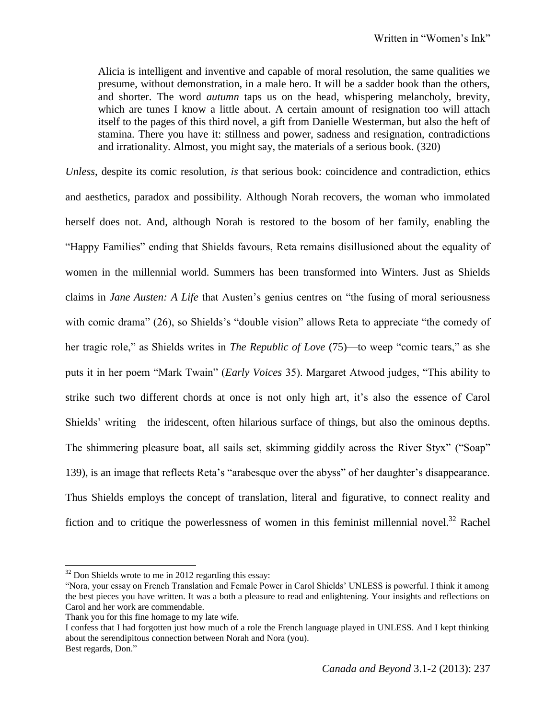Alicia is intelligent and inventive and capable of moral resolution, the same qualities we presume, without demonstration, in a male hero. It will be a sadder book than the others, and shorter. The word *autumn* taps us on the head, whispering melancholy, brevity, which are tunes I know a little about. A certain amount of resignation too will attach itself to the pages of this third novel, a gift from Danielle Westerman, but also the heft of stamina. There you have it: stillness and power, sadness and resignation, contradictions and irrationality. Almost, you might say, the materials of a serious book. (320)

*Unless*, despite its comic resolution, *is* that serious book: coincidence and contradiction, ethics and aesthetics, paradox and possibility. Although Norah recovers, the woman who immolated herself does not. And, although Norah is restored to the bosom of her family, enabling the "Happy Families" ending that Shields favours, Reta remains disillusioned about the equality of women in the millennial world. Summers has been transformed into Winters. Just as Shields claims in *Jane Austen: A Life* that Austen's genius centres on "the fusing of moral seriousness with comic drama" (26), so Shields's "double vision" allows Reta to appreciate "the comedy of her tragic role," as Shields writes in *The Republic of Love* (75)—to weep "comic tears," as she puts it in her poem "Mark Twain" (*Early Voices* 35). Margaret Atwood judges, "This ability to strike such two different chords at once is not only high art, it's also the essence of Carol Shields' writing—the iridescent, often hilarious surface of things, but also the ominous depths. The shimmering pleasure boat, all sails set, skimming giddily across the River Styx" ("Soap" 139), is an image that reflects Reta's "arabesque over the abyss" of her daughter's disappearance. Thus Shields employs the concept of translation, literal and figurative, to connect reality and fiction and to critique the powerlessness of women in this feminist millennial novel. $32$  Rachel

 $\overline{a}$ 

I confess that I had forgotten just how much of a role the French language played in UNLESS. And I kept thinking about the serendipitous connection between Norah and Nora (you). Best regards, Don."

 $32$  Don Shields wrote to me in 2012 regarding this essay:

<sup>&</sup>quot;Nora, your essay on French Translation and Female Power in Carol Shields' UNLESS is powerful. I think it among the best pieces you have written. It was a both a pleasure to read and enlightening. Your insights and reflections on Carol and her work are commendable.

Thank you for this fine homage to my late wife.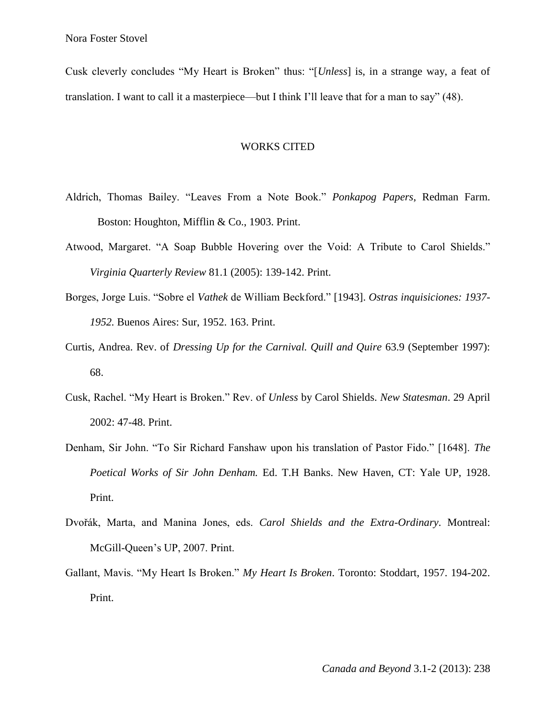Cusk cleverly concludes "My Heart is Broken" thus: "[*Unless*] is, in a strange way, a feat of translation. I want to call it a masterpiece—but I think I'll leave that for a man to say" (48).

## WORKS CITED

- Aldrich, Thomas Bailey. "Leaves From a Note Book." *Ponkapog Papers*, Redman Farm. Boston: Houghton, Mifflin & Co., 1903. Print.
- Atwood, Margaret. "A Soap Bubble Hovering over the Void: A Tribute to Carol Shields." *Virginia Quarterly Review* 81.1 (2005): 139-142. Print.
- Borges, Jorge Luis. "Sobre el *Vathek* de William Beckford." [1943]. *Ostras inquisiciones: 1937- 1952.* Buenos Aires: Sur, 1952. 163. Print.
- Curtis, Andrea. Rev. of *Dressing Up for the Carnival. Quill and Quire* 63.9 (September 1997): 68.
- Cusk, Rachel. "My Heart is Broken." Rev. of *Unless* by Carol Shields. *New Statesman*. 29 April 2002: 47-48. Print.
- Denham, Sir John. "To Sir Richard Fanshaw upon his translation of Pastor Fido." [1648]. *The Poetical Works of Sir John Denham.* Ed. T.H Banks. New Haven, CT: Yale UP, 1928. Print.
- Dvořák, Marta, and Manina Jones, eds. *Carol Shields and the Extra-Ordinary*. Montreal: McGill-Queen's UP, 2007. Print.
- Gallant, Mavis. "My Heart Is Broken." *My Heart Is Broken*. Toronto: Stoddart, 1957. 194-202. Print.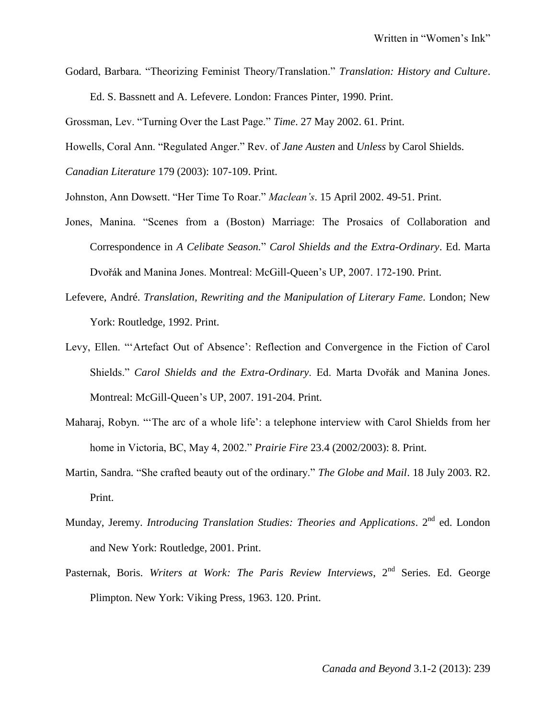Godard, Barbara. "Theorizing Feminist Theory/Translation." *Translation: History and Culture*.

Ed. S. Bassnett and A. Lefevere. London: Frances Pinter, 1990. Print.

Grossman, Lev. "Turning Over the Last Page." *Time*. 27 May 2002. 61. Print.

Howells, Coral Ann. "Regulated Anger." Rev. of *Jane Austen* and *Unless* by Carol Shields.

*Canadian Literature* 179 (2003): 107-109. Print.

Johnston, Ann Dowsett. "Her Time To Roar." *Maclean's*. 15 April 2002. 49-51. Print.

- Jones, Manina. "Scenes from a (Boston) Marriage: The Prosaics of Collaboration and Correspondence in *A Celibate Season.*" *Carol Shields and the Extra-Ordinary*. Ed. Marta Dvořák and Manina Jones. Montreal: McGill-Queen's UP, 2007. 172-190. Print.
- Lefevere, André. *Translation, Rewriting and the Manipulation of Literary Fame*. London; New York: Routledge, 1992. Print.
- Levy, Ellen. "'Artefact Out of Absence': Reflection and Convergence in the Fiction of Carol Shields." *Carol Shields and the Extra-Ordinary*. Ed. Marta Dvořák and Manina Jones. Montreal: McGill-Queen's UP, 2007. 191-204. Print.
- Maharaj, Robyn. "'The arc of a whole life': a telephone interview with Carol Shields from her home in Victoria, BC, May 4, 2002." *Prairie Fire* 23.4 (2002/2003): 8. Print.
- Martin, Sandra. "She crafted beauty out of the ordinary." *The Globe and Mail*. 18 July 2003. R2. Print.
- Munday, Jeremy. *Introducing Translation Studies: Theories and Applications*. 2<sup>nd</sup> ed. London and New York: Routledge, 2001. Print.
- Pasternak, Boris. *Writers at Work: The Paris Review Interviews*, 2<sup>nd</sup> Series. Ed. George Plimpton. New York: Viking Press, 1963. 120. Print.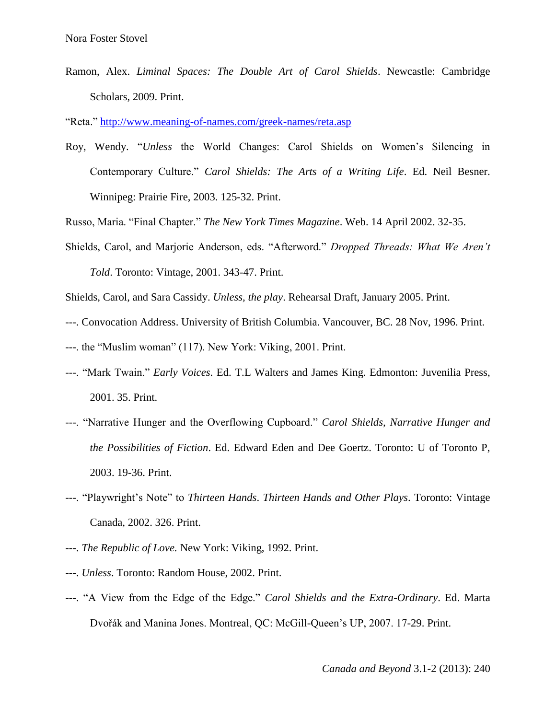Ramon, Alex. *Liminal Spaces: The Double Art of Carol Shields*. Newcastle: Cambridge Scholars, 2009. Print.

"Reta."<http://www.meaning-of-names.com/greek-names/reta.asp>

Roy, Wendy. "*Unless* the World Changes: Carol Shields on Women's Silencing in Contemporary Culture." *Carol Shields: The Arts of a Writing Life*. Ed. Neil Besner. Winnipeg: Prairie Fire, 2003. 125-32. Print.

Russo, Maria. "Final Chapter." *The New York Times Magazine*. Web. 14 April 2002. 32-35.

Shields, Carol, and Marjorie Anderson, eds. "Afterword." *Dropped Threads: What We Aren't Told*. Toronto: Vintage, 2001. 343-47. Print.

Shields, Carol, and Sara Cassidy. *Unless, the play*. Rehearsal Draft, January 2005. Print.

- ---. Convocation Address. University of British Columbia. Vancouver, BC. 28 Nov, 1996. Print.
- ---. the "Muslim woman" (117). New York: Viking, 2001. Print.
- ---. "Mark Twain." *Early Voices*. Ed. T.L Walters and James King. Edmonton: Juvenilia Press, 2001. 35. Print.
- ---. "Narrative Hunger and the Overflowing Cupboard." *Carol Shields, Narrative Hunger and the Possibilities of Fiction*. Ed. Edward Eden and Dee Goertz. Toronto: U of Toronto P, 2003. 19-36. Print.
- ---. "Playwright's Note" to *Thirteen Hands*. *Thirteen Hands and Other Plays*. Toronto: Vintage Canada, 2002. 326. Print.
- ---. *The Republic of Love.* New York: Viking, 1992. Print.
- ---. *Unless*. Toronto: Random House, 2002. Print.
- ---. "A View from the Edge of the Edge." *Carol Shields and the Extra-Ordinary*. Ed. Marta Dvořák and Manina Jones. Montreal, QC: McGill-Queen's UP, 2007. 17-29. Print.